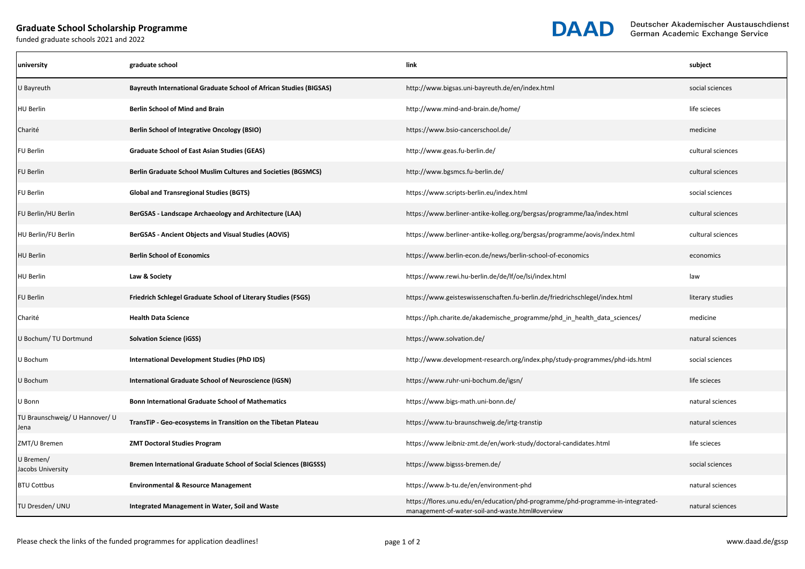## **Graduate School Scholarship Programme**

funded graduate schools 2021 and 2022



| university                             | graduate school                                                           | link                                                                                                                               | subject           |
|----------------------------------------|---------------------------------------------------------------------------|------------------------------------------------------------------------------------------------------------------------------------|-------------------|
| U Bayreuth                             | <b>Bayreuth International Graduate School of African Studies (BIGSAS)</b> | http://www.bigsas.uni-bayreuth.de/en/index.html                                                                                    | social sciences   |
| <b>HU Berlin</b>                       | <b>Berlin School of Mind and Brain</b>                                    | http://www.mind-and-brain.de/home/                                                                                                 | life scieces      |
| Charité                                | <b>Berlin School of Integrative Oncology (BSIO)</b>                       | https://www.bsio-cancerschool.de/                                                                                                  | medicine          |
| <b>FU Berlin</b>                       | <b>Graduate School of East Asian Studies (GEAS)</b>                       | http://www.geas.fu-berlin.de/                                                                                                      | cultural sciences |
| <b>FU Berlin</b>                       | <b>Berlin Graduate School Muslim Cultures and Societies (BGSMCS)</b>      | http://www.bgsmcs.fu-berlin.de/                                                                                                    | cultural sciences |
| <b>FU Berlin</b>                       | <b>Global and Transregional Studies (BGTS)</b>                            | https://www.scripts-berlin.eu/index.html                                                                                           | social sciences   |
| FU Berlin/HU Berlin                    | BerGSAS - Landscape Archaeology and Architecture (LAA)                    | https://www.berliner-antike-kolleg.org/bergsas/programme/laa/index.html                                                            | cultural sciences |
| HU Berlin/FU Berlin                    | <b>BerGSAS - Ancient Objects and Visual Studies (AOVIS)</b>               | https://www.berliner-antike-kolleg.org/bergsas/programme/aovis/index.html                                                          | cultural sciences |
| <b>HU Berlin</b>                       | <b>Berlin School of Economics</b>                                         | https://www.berlin-econ.de/news/berlin-school-of-economics                                                                         | economics         |
| <b>HU Berlin</b>                       | Law & Society                                                             | https://www.rewi.hu-berlin.de/de/lf/oe/lsi/index.html                                                                              | law               |
| <b>FU Berlin</b>                       | Friedrich Schlegel Graduate School of Literary Studies (FSGS)             | https://www.geisteswissenschaften.fu-berlin.de/friedrichschlegel/index.html                                                        | literary studies  |
| Charité                                | <b>Health Data Science</b>                                                | https://iph.charite.de/akademische_programme/phd_in_health_data_sciences/                                                          | medicine          |
| U Bochum/TU Dortmund                   | <b>Solvation Science (iGSS)</b>                                           | https://www.solvation.de/                                                                                                          | natural sciences  |
| U Bochum                               | <b>International Development Studies (PhD IDS)</b>                        | http://www.development-research.org/index.php/study-programmes/phd-ids.html                                                        | social sciences   |
| U Bochum                               | <b>International Graduate School of Neuroscience (IGSN)</b>               | https://www.ruhr-uni-bochum.de/igsn/                                                                                               | life scieces      |
| U Bonn                                 | <b>Bonn International Graduate School of Mathematics</b>                  | https://www.bigs-math.uni-bonn.de/                                                                                                 | natural sciences  |
| TU Braunschweig/ U Hannover/ U<br>Jena | TransTiP - Geo-ecosystems in Transition on the Tibetan Plateau            | https://www.tu-braunschweig.de/irtg-transtip                                                                                       | natural sciences  |
| ZMT/U Bremen                           | <b>ZMT Doctoral Studies Program</b>                                       | https://www.leibniz-zmt.de/en/work-study/doctoral-candidates.html                                                                  | life scieces      |
| U Bremen/<br>Jacobs University         | <b>Bremen International Graduate School of Social Sciences (BIGSSS)</b>   | https://www.bigsss-bremen.de/                                                                                                      | social sciences   |
| <b>BTU Cottbus</b>                     | <b>Environmental &amp; Resource Management</b>                            | https://www.b-tu.de/en/environment-phd                                                                                             | natural sciences  |
| TU Dresden/ UNU                        | Integrated Management in Water, Soil and Waste                            | https://flores.unu.edu/en/education/phd-programme/phd-programme-in-integrated-<br>management-of-water-soil-and-waste.html#overview | natural sciences  |